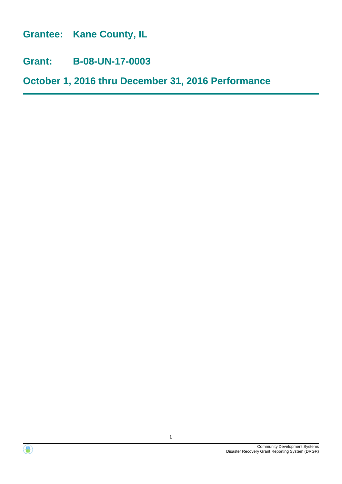**Grantee: Kane County, IL**

**Grant: B-08-UN-17-0003**

**October 1, 2016 thru December 31, 2016 Performance**



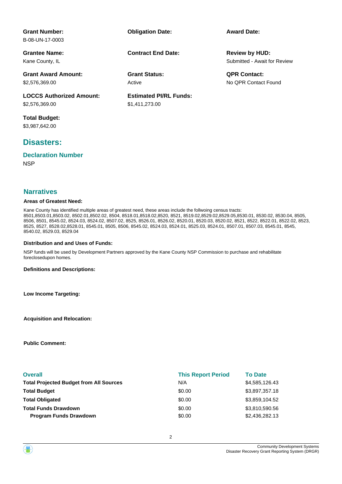| <b>Grant Number:</b><br>B-08-UN-17-0003 | <b>Obligation Date:</b>       | <b>Award Date:</b>           |
|-----------------------------------------|-------------------------------|------------------------------|
| <b>Grantee Name:</b>                    | <b>Contract End Date:</b>     | <b>Review by HUD:</b>        |
| Kane County, IL                         |                               | Submitted - Await for Review |
| <b>Grant Award Amount:</b>              | <b>Grant Status:</b>          | <b>QPR Contact:</b>          |
| \$2,576,369.00                          | Active                        | No OPR Contact Found         |
| <b>LOCCS Authorized Amount:</b>         | <b>Estimated PI/RL Funds:</b> |                              |
| \$2,576,369.00                          | \$1,411,273.00                |                              |
| <b>Total Budget:</b>                    |                               |                              |
| \$3,987,642.00                          |                               |                              |

### **Disasters:**

# **Declaration Number**

**NSP** 

#### **Narratives**

#### **Areas of Greatest Need:**

Kane County has identified multiple areas of greatest need, these areas include the follwoing census tracts: 8501,8503.01,8503.02, 8502.01,8502.02, 8504, 8518.01,8518.02,8520, 8521, 8519.02,8529.02,8529.05,8530.01, 8530.02, 8530.04, 8505, 8506, 8501, 8545.02, 8524.03, 8524.02, 8507.02, 8525, 8526.01, 8526.02, 8520.01, 8520.03, 8520.02, 8521, 8522, 8522.01, 8522.02, 8523, 8525, 8527, 8528.02,8528.01, 8545.01, 8505, 8506, 8545.02, 8524.03, 8524.01, 8525.03, 8524.01, 8507.01, 8507.03, 8545.01, 8545, 8540.02, 8529.03, 8529.04

#### **Distribution and and Uses of Funds:**

NSP funds will be used by Development Partners approved by the Kane County NSP Commission to purchase and rehabilitate foreclosedupon homes.

**Definitions and Descriptions:**

**Low Income Targeting:**

**Acquisition and Relocation:**

**Public Comment:**

| <b>Overall</b>                                 | <b>This Report Period</b> | <b>To Date</b> |
|------------------------------------------------|---------------------------|----------------|
| <b>Total Projected Budget from All Sources</b> | N/A                       | \$4,585,126.43 |
| <b>Total Budget</b>                            | \$0.00                    | \$3,897,357.18 |
| <b>Total Obligated</b>                         | \$0.00                    | \$3,859,104.52 |
| <b>Total Funds Drawdown</b>                    | \$0.00                    | \$3,810,590.56 |
| <b>Program Funds Drawdown</b>                  | \$0.00                    | \$2,436,282.13 |

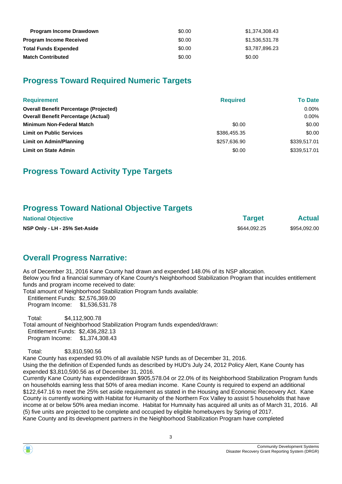| <b>Program Income Drawdown</b> | \$0.00 | \$1.374.308.43 |
|--------------------------------|--------|----------------|
| <b>Program Income Received</b> | \$0.00 | \$1,536,531.78 |
| <b>Total Funds Expended</b>    | \$0.00 | \$3,787,896.23 |
| <b>Match Contributed</b>       | \$0.00 | \$0.00         |

## **Progress Toward Required Numeric Targets**

| <b>Requirement</b>                            | <b>Required</b> | <b>To Date</b> |
|-----------------------------------------------|-----------------|----------------|
| <b>Overall Benefit Percentage (Projected)</b> |                 | $0.00\%$       |
| <b>Overall Benefit Percentage (Actual)</b>    |                 | $0.00\%$       |
| <b>Minimum Non-Federal Match</b>              | \$0.00          | \$0.00         |
| <b>Limit on Public Services</b>               | \$386,455,35    | \$0.00         |
| <b>Limit on Admin/Planning</b>                | \$257,636.90    | \$339,517.01   |
| <b>Limit on State Admin</b>                   | \$0.00          | \$339,517.01   |

## **Progress Toward Activity Type Targets**

### **Progress Toward National Objective Targets**

| <b>National Objective</b>     | <b>Target</b> | <b>Actual</b> |
|-------------------------------|---------------|---------------|
| NSP Only - LH - 25% Set-Aside | \$644.092.25  | \$954.092.00  |

## **Overall Progress Narrative:**

As of December 31, 2016 Kane County had drawn and expended 148.0% of its NSP allocation. Below you find a financial summary of Kane County's Neighborhood Stabilization Program that inculdes entitlement funds and program income received to date:

Total amount of Neighborhood Stabilization Program funds available: Entitlement Funds: \$2,576,369.00 Program Income: \$1,536,531.78

 Total: \$4,112,900.78 Total amount of Neighborhood Stabilization Program funds expended/drawn: Entitlement Funds: \$2,436,282.13 Program Income: \$1,374,308.43

Total: \$3,810,590.56

Kane County has expended 93.0% of all available NSP funds as of December 31, 2016. Using the the definition of Expended funds as described by HUD's July 24, 2012 Policy Alert, Kane County has expended \$3,810,590.56 as of December 31, 2016.

Currently Kane County has expended/drawn \$905,578.04 or 22.0% of its Neighborhood Stabilization Program funds on households earning less that 50% of area median income. Kane County is required to expend an additional \$122,647.16 to meet the 25% set aside requirement as stated in the Housing and Economic Receovery Act. Kane County is currently working with Habitat for Humanity of the Northern Fox Valley to assist 5 households that have income at or below 50% area median income. Habitat for Humnaity has acquired all units as of March 31, 2016. All (5) five units are projected to be complete and occupied by eligible homebuyers by Spring of 2017. Kane County and its development partners in the Neighborhood Stabilization Program have completed

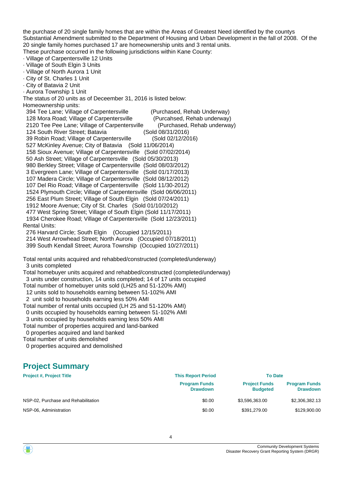the purchase of 20 single family homes that are within the Areas of Greatest Need identified by the countys Substantial Amendment submitted to the Department of Housing and Urban Development in the fall of 2008. Of the 20 single family homes purchased 17 are homeownership units and 3 rental units.

These purchase occurred in the following jurisdictions within Kane County:

- · Village of Carpentersville 12 Units
- · Village of South Elgin 3 Units
- · Village of North Aurora 1 Unit
- · City of St. Charles 1 Unit · City of Batavia 2 Unit
- · Aurora Township 1 Unit
- The status of 20 units as of Deceember 31, 2016 is listed below:
- Homeownership units:

| 394 Tee Lane; Village of Carpentersville (Purchased, Rehab Underway)         |                             |
|------------------------------------------------------------------------------|-----------------------------|
| 128 Mora Road; Village of Carpentersville (Purcahsed, Rehab underway)        |                             |
| 2120 Tee Pee Lane; Village of Carpentersville                                | (Purchased, Rehab underway) |
| 124 South River Street; Batavia                                              | (Sold 08/31/2016)           |
| 39 Robin Road; Village of Carpentersville (Sold 02/12/2016)                  |                             |
| 527 McKinley Avenue; City of Batavia (Sold 11/06/2014)                       |                             |
| 158 Sioux Avenue; Village of Carpentersville (Sold 07/02/2014)               |                             |
| 50 Ash Street; Village of Carpentersville (Sold 05/30/2013)                  |                             |
| 980 Berkley Street; Village of Carpentersville (Sold 08/03/2012)             |                             |
| 3 Evergreen Lane; Village of Carpentersville (Sold 01/17/2013)               |                             |
| 107 Madera Circle; Village of Carpentersville (Sold 08/12/2012)              |                             |
| 107 Del Rio Road; Village of Carpentersville (Sold 11/30-2012)               |                             |
| 1524 Plymouth Circle; Village of Carpentersville (Sold 06/06/2011)           |                             |
| 256 East Plum Street; Village of South Elgin (Sold 07/24/2011)               |                             |
| 1912 Moore Avenue; City of St. Charles (Sold 01/10/2012)                     |                             |
| 477 West Spring Street; Village of South Elgin (Sold 11/17/2011)             |                             |
| 1934 Cherokee Road; Village of Carpentersville (Sold 12/23/2011)             |                             |
| <b>Rental Units:</b>                                                         |                             |
| 276 Harvard Circle; South Elgin (Occupied 12/15/2011)                        |                             |
| 214 West Arrowhead Street; North Aurora (Occupied 07/18/2011)                |                             |
| 399 South Kendall Street; Aurora Township (Occupied 10/27/2011)              |                             |
|                                                                              |                             |
| Total rental units acquired and rehabbed/constructed (completed/underway)    |                             |
| 3 units completed                                                            |                             |
| Total homebuyer units acquired and rehabbed/constructed (completed/underway) |                             |
| 3 units under construction, 14 units completed; 14 of 17 units occupied      |                             |
| Total number of homebuyer units sold (LH25 and 51-120% AMI)                  |                             |
|                                                                              |                             |

- 12 units sold to households earning between 51-102% AMI
- 2 unit sold to households earning less 50% AMI
- Total number of rental units occupied (LH 25 and 51-120% AMI) 0 units occupied by households earning between 51-102% AMI
- 3 units occupied by households earning less 50% AMI
- Total number of properties acquired and land-banked
- 0 properties acquired and land banked
- Total number of units demolished
- 0 properties acquired and demolished

# **Project Summary**

| <b>Project #, Project Title</b>     | <b>This Report Period</b>               | <b>To Date</b>                          |                                         |
|-------------------------------------|-----------------------------------------|-----------------------------------------|-----------------------------------------|
|                                     | <b>Program Funds</b><br><b>Drawdown</b> | <b>Project Funds</b><br><b>Budgeted</b> | <b>Program Funds</b><br><b>Drawdown</b> |
| NSP-02, Purchase and Rehabilitation | \$0.00                                  | \$3,596,363.00                          | \$2,306,382.13                          |
| NSP-06, Administration              | \$0.00                                  | \$391.279.00                            | \$129,900.00                            |

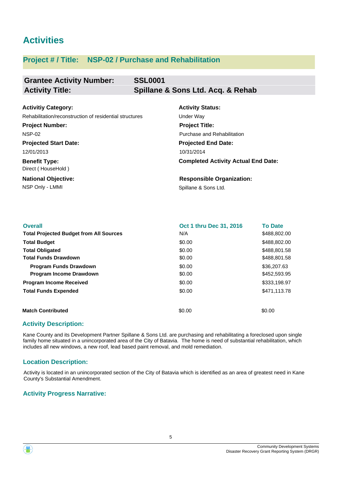# **Activities**

### **Project # / Title: NSP-02 / Purchase and Rehabilitation**

| <b>Grantee Activity Number:</b> | <b>SSL0001</b>                    |
|---------------------------------|-----------------------------------|
| <b>Activity Title:</b>          | Spillane & Sons Ltd. Acq. & Rehab |

| <b>Activitiy Category:</b>                              | <b>Activity Status:</b>                    |
|---------------------------------------------------------|--------------------------------------------|
| Rehabilitation/reconstruction of residential structures | Under Way                                  |
| <b>Project Number:</b>                                  | <b>Project Title:</b>                      |
| <b>NSP-02</b>                                           | Purchase and Rehabilitation                |
| <b>Projected Start Date:</b>                            | <b>Projected End Date:</b>                 |
| 12/01/2013                                              | 10/31/2014                                 |
| <b>Benefit Type:</b><br>Direct (HouseHold)              | <b>Completed Activity Actual End Date:</b> |
| <b>National Objective:</b>                              | <b>Responsible Organization:</b>           |
| NSP Only - LMMI                                         | Spillane & Sons Ltd.                       |

| <b>Overall</b>                                 | Oct 1 thru Dec 31, 2016 | <b>To Date</b> |
|------------------------------------------------|-------------------------|----------------|
| <b>Total Projected Budget from All Sources</b> | N/A                     | \$488,802.00   |
| <b>Total Budget</b>                            | \$0.00                  | \$488,802.00   |
| <b>Total Obligated</b>                         | \$0.00                  | \$488.801.58   |
| <b>Total Funds Drawdown</b>                    | \$0.00                  | \$488,801.58   |
| <b>Program Funds Drawdown</b>                  | \$0.00                  | \$36,207.63    |
| <b>Program Income Drawdown</b>                 | \$0.00                  | \$452,593.95   |
| <b>Program Income Received</b>                 | \$0.00                  | \$333,198.97   |
| <b>Total Funds Expended</b>                    | \$0.00                  | \$471.113.78   |
| <b>Match Contributed</b>                       | \$0.00                  | \$0.00         |

### **Activity Description:**

Kane County and its Development Partner Spillane & Sons Ltd. are purchasing and rehabilitating a foreclosed upon single family home situated in a unincorporated area of the City of Batavia. The home is need of substantial rehabilitation, which includes all new windows, a new roof, lead based paint removal, and mold remediation.

### **Location Description:**

Activity is located in an unincorporated section of the City of Batavia which is identified as an area of greatest need in Kane County's Substantial Amendment.

#### **Activity Progress Narrative:**



5